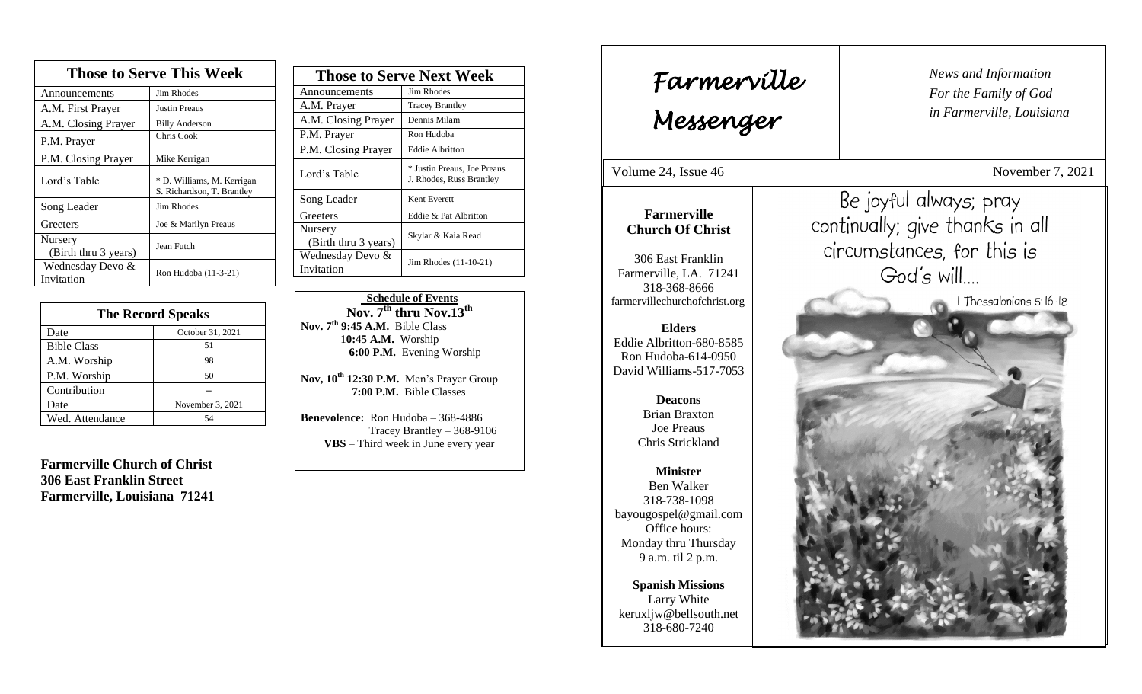| <b>Those to Serve This Week</b> |                                                          |  |
|---------------------------------|----------------------------------------------------------|--|
| Announcements                   | <b>Jim Rhodes</b>                                        |  |
| A.M. First Prayer               | Justin Preaus                                            |  |
| A.M. Closing Prayer             | <b>Billy Anderson</b>                                    |  |
| P.M. Prayer                     | Chris Cook                                               |  |
| P.M. Closing Prayer             | Mike Kerrigan                                            |  |
| Lord's Table                    | * D. Williams, M. Kerrigan<br>S. Richardson, T. Brantley |  |
| Song Leader                     | <b>Jim Rhodes</b>                                        |  |
| Greeters                        | Joe & Marilyn Preaus                                     |  |
| Nursery<br>(Birth thru 3 years) | Jean Futch                                               |  |
| Wednesday Devo &<br>Invitation  | Ron Hudoba (11-3-21)                                     |  |

| <b>The Record Speaks</b> |                  |  |
|--------------------------|------------------|--|
| Date                     | October 31, 2021 |  |
| <b>Bible Class</b>       | 51               |  |
| A.M. Worship             | 98               |  |
| P.M. Worship             | 50               |  |
| Contribution             |                  |  |
| Date                     | November 3, 2021 |  |
| Wed. Attendance          | 54               |  |

**Farmerville Church of Christ 306 East Franklin Street Farmerville, Louisiana 71241**

| <b>Those to Serve Next Week</b> |                                                         |
|---------------------------------|---------------------------------------------------------|
| Announcements                   | Jim Rhodes                                              |
| A.M. Prayer                     | <b>Tracey Brantley</b>                                  |
| A.M. Closing Prayer             | Dennis Milam                                            |
| P.M. Prayer                     | Ron Hudoba                                              |
| P.M. Closing Prayer             | <b>Eddie Albritton</b>                                  |
| Lord's Table                    | * Justin Preaus, Joe Preaus<br>J. Rhodes, Russ Brantley |
| Song Leader                     | Kent Everett                                            |
| Greeters                        | Eddie & Pat Albritton                                   |
| Nursery<br>(Birth thru 3 years) | Skylar & Kaia Read                                      |
| Wednesday Devo &<br>Invitation  | Jim Rhodes (11-10-21)                                   |

 **Schedule of Events Nov. 7th thru Nov.13 th Nov. 7th 9:45 A.M.** Bible Class 1**0:45 A.M.** Worship  **6:00 P.M.** Evening Worship

**Nov, 10th 12:30 P.M.** Men's Prayer Group **7:00 P.M.** Bible Classes

**Benevolence:** Ron Hudoba – 368-4886 Tracey Brantley – 368-9106 **VBS** – Third week in June every year

*News and Information* **Farmerville**  $\begin{bmatrix} \text{News an} \\ \text{For the} \end{bmatrix}$ *For the Family of God in Farmerville, Louisiana Messenger*  Volume 24, Issue 46 November 7, 2021 Be joyful always; pray , 2015 **Farmerville** continually; give thanks in all **Church Of Christ** circumstances, for this is 306 East Franklin God's will.... Farmerville, LA. 71241 318-368-8666 I Thessalonians 5:16-18 farmervillechurchofchrist.org **Elders** Eddie Albritton-680-8585 Ron Hudoba-614-0950 David Williams-517-7053 **Deacons**  Brian Braxton Joe Preaus Chris Strickland **Minister** Ben Walker 318-738-1098 bayougospel@gmail.com Office hours: Monday thru Thursday 9 a.m. til 2 p.m. **Spanish Missions** Larry White keruxljw@bellsouth.net 318-680-7240